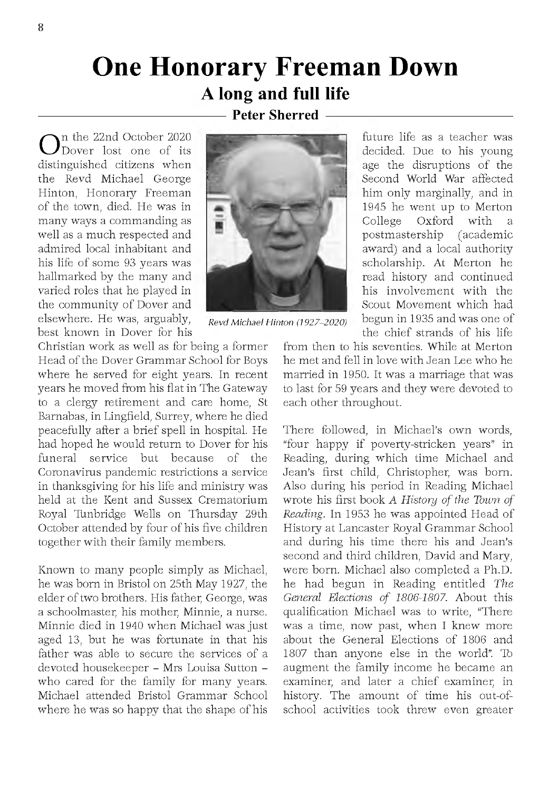## **One Honorary Freeman Down A long and full life**

## **-Peter Sherred**

 $\bigodot^\text{n}{}^\text{n}$  the 22nd October 2020<br>distinguished citizens when In the 22nd October 2020 Dover lost one of its the Revd Michael George Hinton, Honorary Freeman of the town, died. He was in many ways a commanding as well as a much respected and adm ired local inhabitant and his life of some 93 years was hallmarked by the many and varied roles that he played in the community of Dover and elsewhere. He was, arguably, best known in Dover for his



*Revd M ichael Hinton (1927-2020)*

Christian work as well as for being a former Head of the Dover Grammar School for Boys where he served for eight years. In recent years he moved from his flat in The Gateway to a clergy retirement and care home, St Barnabas, in Lingfield, Surrey, w here he died peacefully after a brief spell in hospital. He had hoped he would return to Dover for his funeral service but because of the Coronavirus pandemic restrictions a service in thanksgiving for his life and ministry was held at the Kent and Sussex Crematorium Royal Tunbridge Wells on Thursday 29th October attended by four of his five children together with their family members.

Known to many people simply as Michael. he was born in Bristol on 25th May 1927, the elder of two brothers. His father, George, was a schoolmaster, his mother, Minnie, a nurse. Minnie died in 1940 when Michael was just aged 13, but he was fortunate in that his father was able to secure the services of a devoted housekeeper - Mrs Louisa Sutton who cared for the family for many years. Michael attended Bristol Grammar School where he was so happy that the shape of his

future life as a teacher was decided. Due to his young age the disruptions of the Second World War affected him only marginally, and in 1945 he went up to Merton<br>College  $Ox$  ford with a College Oxford with a postmastership (academic award) and a local authority scholarship. At Merton he read history and continued his involvement with the Scout Movement which had begun in 1935 and was one of the chief strands of his life

from then to his seventies. While at Merton he met and fell in love with Jean Lee who he married in 1950. It was a marriage that was to last for 59 years and they were devoted to each other throughout.

There followed, in Michael's own words, "four happy if poverty-stricken years" in Reading, during which time Michael and Jean's first child, Christopher, was born. Also during his period in Reading Michael wrote his first book A History of the Town of *Reading*. In 1953 he was appointed Head of History at Lancaster Royal Grammar School and during his time there his and Jean's second and third children, David and Mary, were born. Michael also completed a Ph.D. he had begun in Reading entitled The *General Elections of 1806-1807.* About this qualification Michael was to write, "There was a time, now past, when I knew more about the General Elections of 1806 and 1807 than anyone else in the world". To augment the family income he became an examiner, and later a chief examiner, in history. The amount of time his out-ofschool activities took threw even greater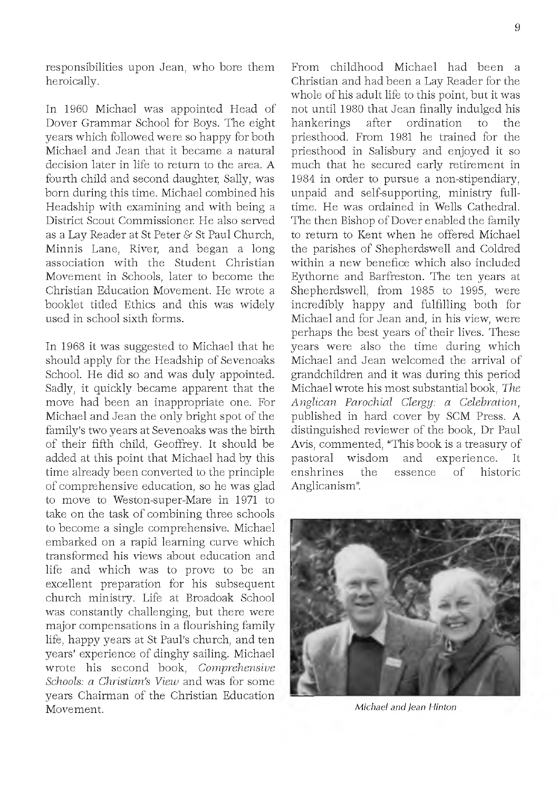responsibilities upon Jean, who bore them heroically.

In 1960 Michael was appointed Head of Dover Grammar School for Boys. The eight years which followed were so happy for both Michael and Jean that it became a natural decision later in life to return to the area. A fourth child and second daughter, Sally, was born during this time. Michael combined his Headship with examining and with being a District Scout Commissioner. He also served as a Lay Reader at St Peter & St Paul Church. Minnis Lane, River, and began a long association with the Student Christian Movement in Schools, later to become the Christian Education Movement. He wrote a booklet titled Ethics and this was widely used in school sixth forms.

In 1968 it was suggested to Michael that he should apply for the Headship of Sevenoaks School. He did so and was duly appointed. Sadly, it quickly became apparent that the move had been an inappropriate one. For Michael and Jean the only bright spot of the family's two years at Sevenoaks was the birth of their fifth child, Geoffrey. It should be added at this point that Michael had by this time already been converted to the principle of comprehensive education, so he was glad to move to Weston-super-Mare in 1971 to take on the task of combining three schools to become a single comprehensive. Michael em barked on a rapid learning curve w hich transform ed his views about education and life and which was to prove to be an excellent preparation for his subsequent church ministry. Life at Broadoak School was constantly challenging, but there were major compensations in a flourishing family life, happy years at St Paul's church, and ten years' experience of dinghy sailing. Michael wrote his second book, *Comprehensive Schools: a Christian's View and was for some* years Chairman of the Christian Education Movement.

From childhood Michael had been a Christian and had been a Lay Reader for the whole of his adult life to this point, but it was not until 1980 that Jean finally indulged his hankerings after ordination to the priesthood. From 1981 he trained for the priesthood in Salisbury and enjoyed it so much that he secured early retirement in 1984 in order to pursue a non-stipendiary, unpaid and self-supporting, ministry fulltime. He was ordained in Wells Cathedral. The then Bishop of Dover enabled the family to return to Kent when he offered Michael the parishes of Shepherdswell and Coldred within a new benefice which also included Evthorne and Barfreston. The ten years at Shepherdswell, from 1985 to 1995, were incredibly happy and fulfilling both for Michael and for Jean and, in his view, were perhaps the best years of their lives. These years were also the time during which Michael and Jean welcomed the arrival of grandchildren and it was during this period M ichael w rote his m ost substantial book, *The A nglican Parochial Clergy: a Celebration*, published in hard cover by SCM Press. A distinguished reviewer of the book, Dr Paul Avis, commented, "This book is a treasury of pastoral wisdom and experience. It<br>enshrines the essence of historic enshrines the essence of historic Anglicanism".



*M ichael and Jean Hinton*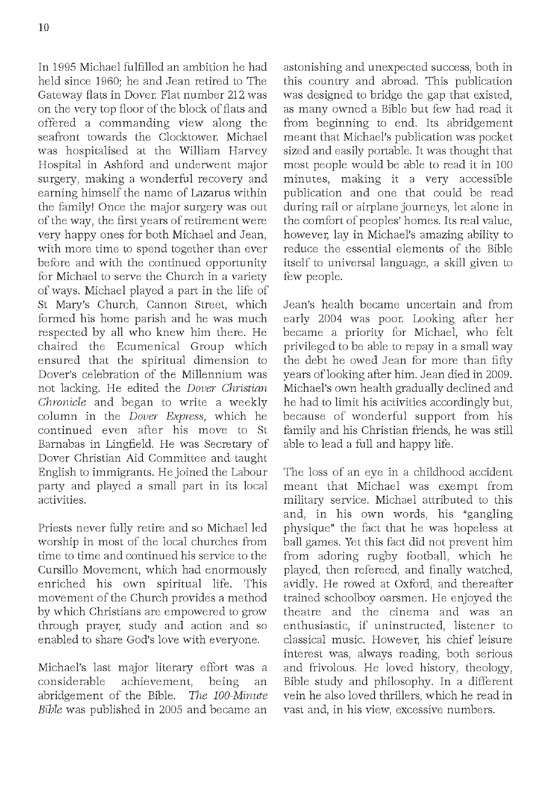In 1995 Michael fulfilled an ambition he had held since 1960; he and Jean retired to The Gateway flats in Dover. Flat number 212 was on the very top floor of the block of flats and offered a commanding view along the seafront towards the Clocktower. Michael was hospitalised at the William Harvey Hospital in Ashford and underwent major surgery, making a wonderful recovery and earning himself the name of Lazarus within the family! Once the major surgery was out of the way, the first years of retirement were very happy ones for both Michael and Jean. with more time to spend together than ever before and with the continued opportunity for Michael to serve the Church in a variety of ways. M ichael played a p art in the life of St Mary's Church, Cannon Street, which formed his home parish and he was much respected by all who knew him there. He chaired the Ecumenical Group which ensured that the spiritual dimension to Dover's celebration of the Millennium was not lacking. He edited the *Dover Christian Chronicle* and began to write a weekly column in the *Dover Express*, which he continued even after his move to St Barnabas in Lingfield. He was Secretary of Dover Christian Aid Committee and taught English to immigrants. He joined the Labour party and played a small part in its local activities.

Priests never fully retire and so Michael led worship in most of the local churches from time to time and continued his service to the Cursillo Movement, which had enormously enriched his own spiritual life. This movement of the Church provides a method by which Christians are empowered to grow through prayer, study and action and so enabled to share God's love with everyone.

Michael's last major literary effort was a considerable achievement, being an abridgement of the Bible. The 100-Minute *Bible* was published in 2005 and became an astonishing and unexpected success, both in this country and abroad. This publication was designed to bridge the gap that existed. as many owned a Bible but few had read it from beginning to end. Its abridgement me ant that Michael's publication was pocket sized and easily portable. It was thought that most people would be able to read it in 100 minutes, making it a very accessible publication and one that could be read during rail or airplane journeys, let alone in the com fort of peoples' hom es. Its real value, however, lay in Michael's amazing ability to reduce the essential elements of the Bible itself to universal language, a skill given to few people.

Jean's health became uncertain and from early 2004 was poor. Looking after her became a priority for Michael, who felt privileged to be able to repay in a small way the debt he owed Jean for more than fifty years of looking after him . Jean died in 2009. Michael's own health gradually declined and he had to limit his activities accordingly but, because of wonderful support from his family and his Christian friends, he was still able to lead a full and happy life.

The loss of an eye in a childhood accident meant that Michael was exempt from military service. Michael attributed to this and, in his own words, his "gangling physique" the fact that he was hopeless at ball games. Yet this fact did not prevent him from adoring rugby football, which he played, then refereed, and finally watched, avidly. He rowed at Oxford, and thereafter trained schoolboy oarsmen. He enjoyed the theatre and the cinema and was an enthusiastic, if uninstructed, listener to classical music. However, his chief leisure in terest was, always reading, both serious and frivolous. He loved history, theology, Bible study and philosophy. In a different vein he also loved thrillers, w hich he read in vast and, in his view, excessive numbers.